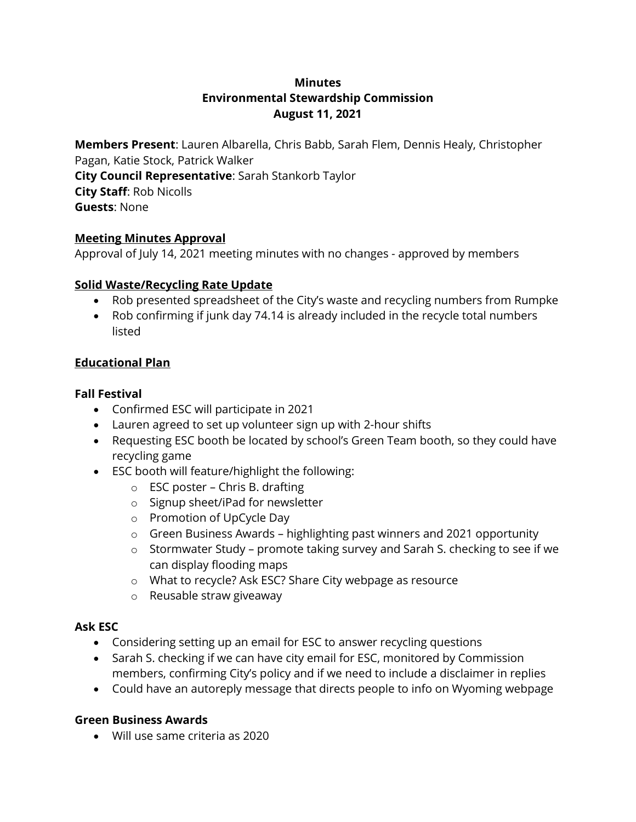# **Minutes Environmental Stewardship Commission August 11, 2021**

**Members Present**: Lauren Albarella, Chris Babb, Sarah Flem, Dennis Healy, Christopher Pagan, Katie Stock, Patrick Walker **City Council Representative**: Sarah Stankorb Taylor **City Staff**: Rob Nicolls **Guests**: None

## **Meeting Minutes Approval**

Approval of July 14, 2021 meeting minutes with no changes - approved by members

#### **Solid Waste/Recycling Rate Update**

- Rob presented spreadsheet of the City's waste and recycling numbers from Rumpke
- Rob confirming if junk day 74.14 is already included in the recycle total numbers listed

### **Educational Plan**

#### **Fall Festival**

- Confirmed ESC will participate in 2021
- Lauren agreed to set up volunteer sign up with 2-hour shifts
- Requesting ESC booth be located by school's Green Team booth, so they could have recycling game
- ESC booth will feature/highlight the following:
	- $\circ$  ESC poster Chris B. drafting
	- o Signup sheet/iPad for newsletter
	- o Promotion of UpCycle Day
	- o Green Business Awards highlighting past winners and 2021 opportunity
	- o Stormwater Study promote taking survey and Sarah S. checking to see if we can display flooding maps
	- o What to recycle? Ask ESC? Share City webpage as resource
	- o Reusable straw giveaway

#### **Ask ESC**

- Considering setting up an email for ESC to answer recycling questions
- Sarah S. checking if we can have city email for ESC, monitored by Commission members, confirming City's policy and if we need to include a disclaimer in replies
- Could have an autoreply message that directs people to info on Wyoming webpage

#### **Green Business Awards**

Will use same criteria as 2020